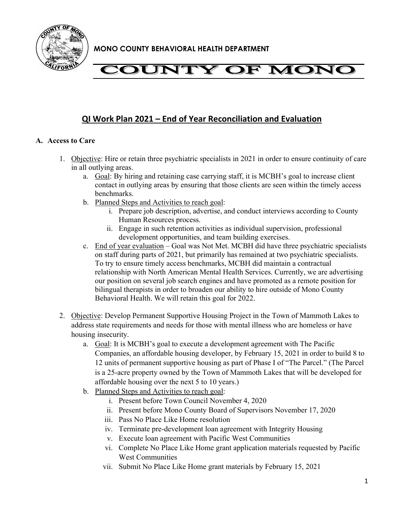

# **COUNTY OF MONC**

### **QI Work Plan 2021 – End of Year Reconciliation and Evaluation**

### **A. Access to Care**

- 1. Objective: Hire or retain three psychiatric specialists in 2021 in order to ensure continuity of care in all outlying areas.
	- a. Goal: By hiring and retaining case carrying staff, it is MCBH's goal to increase client contact in outlying areas by ensuring that those clients are seen within the timely access benchmarks.
	- b. Planned Steps and Activities to reach goal:
		- i. Prepare job description, advertise, and conduct interviews according to County Human Resources process.
		- ii. Engage in such retention activities as individual supervision, professional development opportunities, and team building exercises.
	- c. End of year evaluation Goal was Not Met. MCBH did have three psychiatric specialists on staff during parts of 2021, but primarily has remained at two psychiatric specialists. To try to ensure timely access benchmarks, MCBH did maintain a contractual relationship with North American Mental Health Services. Currently, we are advertising our position on several job search engines and have promoted as a remote position for bilingual therapists in order to broaden our ability to hire outside of Mono County Behavioral Health. We will retain this goal for 2022.
- 2. Objective: Develop Permanent Supportive Housing Project in the Town of Mammoth Lakes to address state requirements and needs for those with mental illness who are homeless or have housing insecurity.
	- a. Goal: It is MCBH's goal to execute a development agreement with The Pacific Companies, an affordable housing developer, by February 15, 2021 in order to build 8 to 12 units of permanent supportive housing as part of Phase I of "The Parcel." (The Parcel is a 25-acre property owned by the Town of Mammoth Lakes that will be developed for affordable housing over the next 5 to 10 years.)
	- b. Planned Steps and Activities to reach goal:
		- i. Present before Town Council November 4, 2020
		- ii. Present before Mono County Board of Supervisors November 17, 2020
		- iii. Pass No Place Like Home resolution
		- iv. Terminate pre-development loan agreement with Integrity Housing
		- v. Execute loan agreement with Pacific West Communities
		- vi. Complete No Place Like Home grant application materials requested by Pacific West Communities
		- vii. Submit No Place Like Home grant materials by February 15, 2021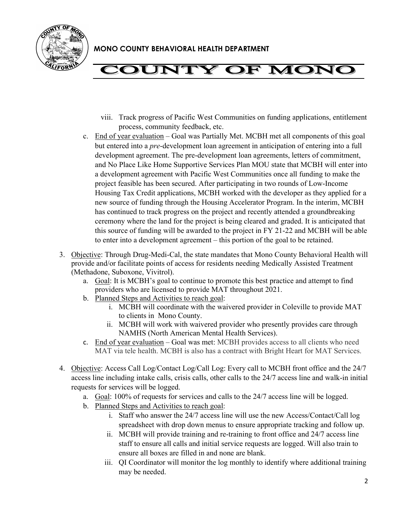

# **'OUNTY OF MONG**

- viii. Track progress of Pacific West Communities on funding applications, entitlement process, community feedback, etc.
- c. End of year evaluation Goal was Partially Met. MCBH met all components of this goal but entered into a *pre*-development loan agreement in anticipation of entering into a full development agreement. The pre-development loan agreements, letters of commitment, and No Place Like Home Supportive Services Plan MOU state that MCBH will enter into a development agreement with Pacific West Communities once all funding to make the project feasible has been secured. After participating in two rounds of Low-Income Housing Tax Credit applications, MCBH worked with the developer as they applied for a new source of funding through the Housing Accelerator Program. In the interim, MCBH has continued to track progress on the project and recently attended a groundbreaking ceremony where the land for the project is being cleared and graded. It is anticipated that this source of funding will be awarded to the project in FY 21-22 and MCBH will be able to enter into a development agreement – this portion of the goal to be retained.
- 3. Objective: Through Drug-Medi-Cal, the state mandates that Mono County Behavioral Health will provide and/or facilitate points of access for residents needing Medically Assisted Treatment (Methadone, Suboxone, Vivitrol).
	- a. Goal: It is MCBH's goal to continue to promote this best practice and attempt to find providers who are licensed to provide MAT throughout 2021.
	- b. Planned Steps and Activities to reach goal:
		- i. MCBH will coordinate with the waivered provider in Coleville to provide MAT to clients in Mono County.
		- ii. MCBH will work with waivered provider who presently provides care through NAMHS (North American Mental Health Services).
	- c. End of year evaluation Goal was met: MCBH provides access to all clients who need MAT via tele health. MCBH is also has a contract with Bright Heart for MAT Services.
- 4. Objective: Access Call Log/Contact Log/Call Log: Every call to MCBH front office and the 24/7 access line including intake calls, crisis calls, other calls to the 24/7 access line and walk-in initial requests for services will be logged.
	- a. Goal: 100% of requests for services and calls to the 24/7 access line will be logged.
	- b. Planned Steps and Activities to reach goal:
		- i. Staff who answer the 24/7 access line will use the new Access/Contact/Call log spreadsheet with drop down menus to ensure appropriate tracking and follow up.
		- ii. MCBH will provide training and re-training to front office and 24/7 access line staff to ensure all calls and initial service requests are logged. Will also train to ensure all boxes are filled in and none are blank.
		- iii. QI Coordinator will monitor the log monthly to identify where additional training may be needed.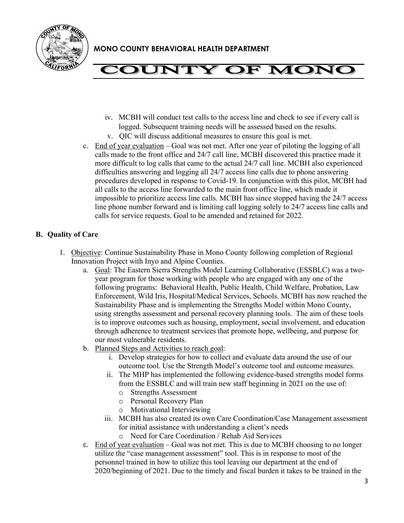

## **COUNTY OF MONC**

- iv. MCBH will conduct test calls to the access line and check to see if every call is logged. Subsequent training needs will be assessed based on the results.
- v. QIC will discuss additional measures to ensure this goal is met.
- c. End of year evaluation Goal was not met. After one year of piloting the logging of all calls made to the front office and 24/7 call line, MCBH discovered this practice made it more difficult to log calls that came to the actual 24/7 call line. MCBH also experienced difficulties answering and logging all 24/7 access line calls due to phone answering procedures developed in response to Covid-19. In conjunction with this pilot, MCBH had all calls to the access line forwarded to the main front office line, which made it impossible to prioritize access line calls. MCBH has since stopped having the 24/7 access line phone number forward and is limiting call logging solely to 24/7 access line calls and calls for service requests. Goal to be amended and retained for 2022.

### **B. Quality of Care**

- 1. Objective: Continue Sustainability Phase in Mono County following completion of Regional Innovation Project with Inyo and Alpine Counties.
	- a. Goal: The Eastern Sierra Strengths Model Learning Collaborative (ESSBLC) was a twoyear program for those working with people who are engaged with any one of the following programs: Behavioral Health, Public Health, Child Welfare, Probation, Law Enforcement, Wild Iris, Hospital/Medical Services, Schools. MCBH has now reached the Sustainability Phase and is implementing the Strengths Model within Mono County, using strengths assessment and personal recovery planning tools. The aim of these tools is to improve outcomes such as housing, employment, social involvement, and education through adherence to treatment services that promote hope, wellbeing, and purpose for our most vulnerable residents.
	- b. Planned Steps and Activities to reach goal:
		- i. Develop strategies for how to collect and evaluate data around the use of our outcome tool. Use the Strength Model's outcome tool and outcome measures.
		- ii. The MHP has implemented the following evidence-based strengths model forms from the ESSBLC and will train new staff beginning in 2021 on the use of:
			- o Strengths Assessment
			- o Personal Recovery Plan
			- o Motivational Interviewing
		- iii. MCBH has also created its own Care Coordination/Case Management assessment for initial assistance with understanding a client's needs
			- o Need for Care Coordination / Rehab Aid Services
	- c. End of year evaluation Goal was not met. This is due to MCBH choosing to no longer utilize the "case management assessment" tool. This is in response to most of the personnel trained in how to utilize this tool leaving our department at the end of 2020/beginning of 2021. Due to the timely and fiscal burden it takes to be trained in the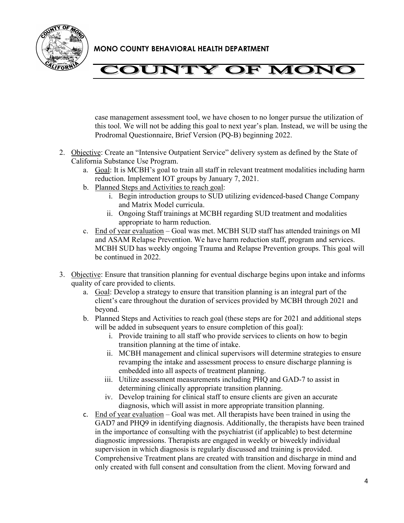

# **COUNTY OF MONC**

case management assessment tool, we have chosen to no longer pursue the utilization of this tool. We will not be adding this goal to next year's plan. Instead, we will be using the Prodromal Questionnaire, Brief Version (PQ-B) beginning 2022.

- 2. Objective: Create an "Intensive Outpatient Service" delivery system as defined by the State of California Substance Use Program.
	- a. Goal: It is MCBH's goal to train all staff in relevant treatment modalities including harm reduction. Implement IOT groups by January 7, 2021.
	- b. Planned Steps and Activities to reach goal:
		- i. Begin introduction groups to SUD utilizing evidenced-based Change Company and Matrix Model curricula.
		- ii. Ongoing Staff trainings at MCBH regarding SUD treatment and modalities appropriate to harm reduction.
	- c. End of year evaluation Goal was met. MCBH SUD staff has attended trainings on MI and ASAM Relapse Prevention. We have harm reduction staff, program and services. MCBH SUD has weekly ongoing Trauma and Relapse Prevention groups. This goal will be continued in 2022.
- 3. Objective: Ensure that transition planning for eventual discharge begins upon intake and informs quality of care provided to clients.
	- a. Goal: Develop a strategy to ensure that transition planning is an integral part of the client's care throughout the duration of services provided by MCBH through 2021 and beyond.
	- b. Planned Steps and Activities to reach goal (these steps are for 2021 and additional steps will be added in subsequent years to ensure completion of this goal):
		- i. Provide training to all staff who provide services to clients on how to begin transition planning at the time of intake.
		- ii. MCBH management and clinical supervisors will determine strategies to ensure revamping the intake and assessment process to ensure discharge planning is embedded into all aspects of treatment planning.
		- iii. Utilize assessment measurements including PHQ and GAD-7 to assist in determining clinically appropriate transition planning.
		- iv. Develop training for clinical staff to ensure clients are given an accurate diagnosis, which will assist in more appropriate transition planning.
	- c. End of year evaluation Goal was met. All therapists have been trained in using the GAD7 and PHQ9 in identifying diagnosis. Additionally, the therapists have been trained in the importance of consulting with the psychiatrist (if applicable) to best determine diagnostic impressions. Therapists are engaged in weekly or biweekly individual supervision in which diagnosis is regularly discussed and training is provided. Comprehensive Treatment plans are created with transition and discharge in mind and only created with full consent and consultation from the client. Moving forward and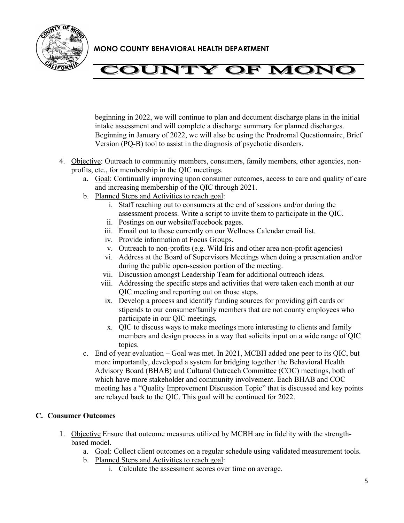

## **COUNTY OF MONC**

beginning in 2022, we will continue to plan and document discharge plans in the initial intake assessment and will complete a discharge summary for planned discharges. Beginning in January of 2022, we will also be using the Prodromal Questionnaire, Brief Version (PQ-B) tool to assist in the diagnosis of psychotic disorders.

- 4. Objective: Outreach to community members, consumers, family members, other agencies, nonprofits, etc., for membership in the QIC meetings.
	- a. Goal: Continually improving upon consumer outcomes, access to care and quality of care and increasing membership of the QIC through 2021.
	- b. Planned Steps and Activities to reach goal:
		- i. Staff reaching out to consumers at the end of sessions and/or during the assessment process. Write a script to invite them to participate in the QIC.
		- ii. Postings on our website/Facebook pages.
		- iii. Email out to those currently on our Wellness Calendar email list.
		- iv. Provide information at Focus Groups.
		- v. Outreach to non-profits (e.g. Wild Iris and other area non-profit agencies)
		- vi. Address at the Board of Supervisors Meetings when doing a presentation and/or during the public open-session portion of the meeting.
		- vii. Discussion amongst Leadership Team for additional outreach ideas.
		- viii. Addressing the specific steps and activities that were taken each month at our QIC meeting and reporting out on those steps.
		- ix. Develop a process and identify funding sources for providing gift cards or stipends to our consumer/family members that are not county employees who participate in our QIC meetings,
		- x. QIC to discuss ways to make meetings more interesting to clients and family members and design process in a way that solicits input on a wide range of QIC topics.
	- c. End of year evaluation Goal was met. In 2021, MCBH added one peer to its QIC, but more importantly, developed a system for bridging together the Behavioral Health Advisory Board (BHAB) and Cultural Outreach Committee (COC) meetings, both of which have more stakeholder and community involvement. Each BHAB and COC meeting has a "Quality Improvement Discussion Topic" that is discussed and key points are relayed back to the QIC. This goal will be continued for 2022.

### **C. Consumer Outcomes**

- 1. Objective Ensure that outcome measures utilized by MCBH are in fidelity with the strengthbased model.
	- a. Goal: Collect client outcomes on a regular schedule using validated measurement tools.
	- b. Planned Steps and Activities to reach goal:
		- i. Calculate the assessment scores over time on average.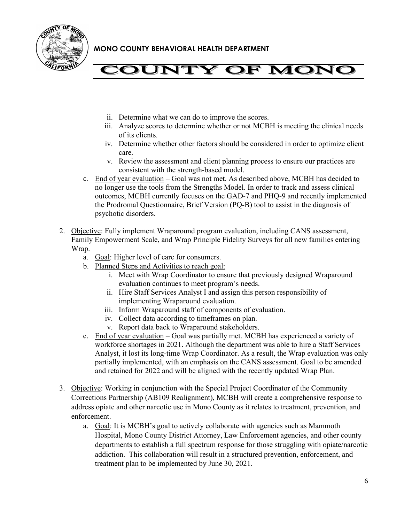



- ii. Determine what we can do to improve the scores.
- iii. Analyze scores to determine whether or not MCBH is meeting the clinical needs of its clients.
- iv. Determine whether other factors should be considered in order to optimize client care.
- v. Review the assessment and client planning process to ensure our practices are consistent with the strength-based model.
- c. End of year evaluation Goal was not met. As described above, MCBH has decided to no longer use the tools from the Strengths Model. In order to track and assess clinical outcomes, MCBH currently focuses on the GAD-7 and PHQ-9 and recently implemented the Prodromal Questionnaire, Brief Version (PQ-B) tool to assist in the diagnosis of psychotic disorders.
- 2. Objective: Fully implement Wraparound program evaluation, including CANS assessment, Family Empowerment Scale, and Wrap Principle Fidelity Surveys for all new families entering Wrap.
	- a. Goal: Higher level of care for consumers.
	- b. Planned Steps and Activities to reach goal:
		- i. Meet with Wrap Coordinator to ensure that previously designed Wraparound evaluation continues to meet program's needs.
		- ii. Hire Staff Services Analyst I and assign this person responsibility of implementing Wraparound evaluation.
		- iii. Inform Wraparound staff of components of evaluation.
		- iv. Collect data according to timeframes on plan.
		- v. Report data back to Wraparound stakeholders.
	- c. End of year evaluation Goal was partially met. MCBH has experienced a variety of workforce shortages in 2021. Although the department was able to hire a Staff Services Analyst, it lost its long-time Wrap Coordinator. As a result, the Wrap evaluation was only partially implemented, with an emphasis on the CANS assessment. Goal to be amended and retained for 2022 and will be aligned with the recently updated Wrap Plan.
- 3. Objective: Working in conjunction with the Special Project Coordinator of the Community Corrections Partnership (AB109 Realignment), MCBH will create a comprehensive response to address opiate and other narcotic use in Mono County as it relates to treatment, prevention, and enforcement.
	- a. Goal: It is MCBH's goal to actively collaborate with agencies such as Mammoth Hospital, Mono County District Attorney, Law Enforcement agencies, and other county departments to establish a full spectrum response for those struggling with opiate/narcotic addiction. This collaboration will result in a structured prevention, enforcement, and treatment plan to be implemented by June 30, 2021.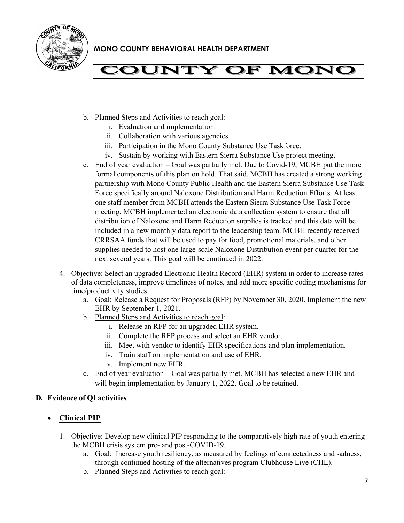

# **COUNTY OF MONC**

- b. Planned Steps and Activities to reach goal:
	- i. Evaluation and implementation.
	- ii. Collaboration with various agencies.
	- iii. Participation in the Mono County Substance Use Taskforce.
	- iv. Sustain by working with Eastern Sierra Substance Use project meeting.
- c. End of year evaluation Goal was partially met. Due to Covid-19, MCBH put the more formal components of this plan on hold. That said, MCBH has created a strong working partnership with Mono County Public Health and the Eastern Sierra Substance Use Task Force specifically around Naloxone Distribution and Harm Reduction Efforts. At least one staff member from MCBH attends the Eastern Sierra Substance Use Task Force meeting. MCBH implemented an electronic data collection system to ensure that all distribution of Naloxone and Harm Reduction supplies is tracked and this data will be included in a new monthly data report to the leadership team. MCBH recently received CRRSAA funds that will be used to pay for food, promotional materials, and other supplies needed to host one large-scale Naloxone Distribution event per quarter for the next several years. This goal will be continued in 2022.
- 4. Objective: Select an upgraded Electronic Health Record (EHR) system in order to increase rates of data completeness, improve timeliness of notes, and add more specific coding mechanisms for time/productivity studies.
	- a. Goal: Release a Request for Proposals (RFP) by November 30, 2020. Implement the new EHR by September 1, 2021.
	- b. Planned Steps and Activities to reach goal:
		- i. Release an RFP for an upgraded EHR system.
		- ii. Complete the RFP process and select an EHR vendor.
		- iii. Meet with vendor to identify EHR specifications and plan implementation.
		- iv. Train staff on implementation and use of EHR.
		- v. Implement new EHR.
	- c. End of year evaluation Goal was partially met. MCBH has selected a new EHR and will begin implementation by January 1, 2022. Goal to be retained.

#### **D. Evidence of QI activities**

### • **Clinical PIP**

- 1. Objective: Develop new clinical PIP responding to the comparatively high rate of youth entering the MCBH crisis system pre- and post-COVID-19.
	- a. Goal: Increase youth resiliency, as measured by feelings of connectedness and sadness, through continued hosting of the alternatives program Clubhouse Live (CHL).
	- b. Planned Steps and Activities to reach goal: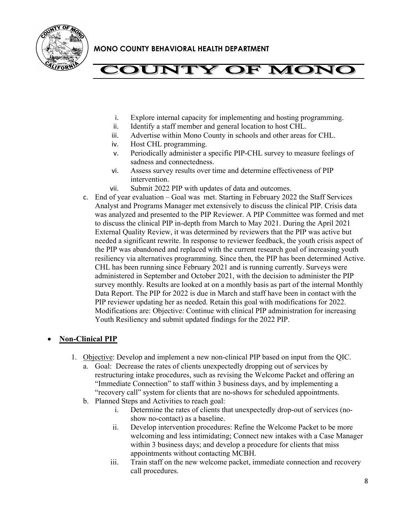

## **'OUNTY OF MONC**

- i. Explore internal capacity for implementing and hosting programming.
- ii. Identify a staff member and general location to host CHL.
- iii. Advertise within Mono County in schools and other areas for CHL.
- iv. Host CHL programming.
- v. Periodically administer a specific PIP-CHL survey to measure feelings of sadness and connectedness.
- vi. Assess survey results over time and determine effectiveness of PIP intervention.
- vii. Submit 2022 PIP with updates of data and outcomes.
- c. End of year evaluation Goal was met. Starting in February 2022 the Staff Services Analyst and Programs Manager met extensively to discuss the clinical PIP. Crisis data was analyzed and presented to the PIP Reviewer. A PIP Committee was formed and met to discuss the clinical PIP in-depth from March to May 2021. During the April 2021 External Quality Review, it was determined by reviewers that the PIP was active but needed a significant rewrite. In response to reviewer feedback, the youth crisis aspect of the PIP was abandoned and replaced with the current research goal of increasing youth resiliency via alternatives programming. Since then, the PIP has been determined Active. CHL has been running since February 2021 and is running currently. Surveys were administered in September and October 2021, with the decision to administer the PIP survey monthly. Results are looked at on a monthly basis as part of the internal Monthly Data Report. The PIP for 2022 is due in March and staff have been in contact with the PIP reviewer updating her as needed. Retain this goal with modifications for 2022. Modifications are: Objective: Continue with clinical PIP administration for increasing Youth Resiliency and submit updated findings for the 2022 PIP.

### • **Non-Clinical PIP**

- 1. Objective: Develop and implement a new non-clinical PIP based on input from the QIC.
	- a. Goal: Decrease the rates of clients unexpectedly dropping out of services by restructuring intake procedures, such as revising the Welcome Packet and offering an "Immediate Connection" to staff within 3 business days, and by implementing a "recovery call" system for clients that are no-shows for scheduled appointments.
	- b. Planned Steps and Activities to reach goal:
		- i. Determine the rates of clients that unexpectedly drop-out of services (noshow no-contact) as a baseline.
		- ii. Develop intervention procedures: Refine the Welcome Packet to be more welcoming and less intimidating; Connect new intakes with a Case Manager within 3 business days; and develop a procedure for clients that miss appointments without contacting MCBH.
		- iii. Train staff on the new welcome packet, immediate connection and recovery call procedures.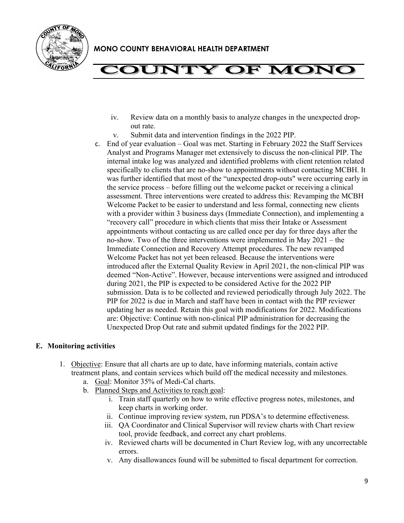

## **'OUNTY OF MONC**

- iv. Review data on a monthly basis to analyze changes in the unexpected dropout rate.
- v. Submit data and intervention findings in the 2022 PIP.
- c. End of year evaluation Goal was met. Starting in February 2022 the Staff Services Analyst and Programs Manager met extensively to discuss the non-clinical PIP. The internal intake log was analyzed and identified problems with client retention related specifically to clients that are no-show to appointments without contacting MCBH. It was further identified that most of the "unexpected drop-outs" were occurring early in the service process – before filling out the welcome packet or receiving a clinical assessment. Three interventions were created to address this: Revamping the MCBH Welcome Packet to be easier to understand and less formal, connecting new clients with a provider within 3 business days (Immediate Connection), and implementing a "recovery call" procedure in which clients that miss their Intake or Assessment appointments without contacting us are called once per day for three days after the no-show. Two of the three interventions were implemented in May 2021 – the Immediate Connection and Recovery Attempt procedures. The new revamped Welcome Packet has not yet been released. Because the interventions were introduced after the External Quality Review in April 2021, the non-clinical PIP was deemed "Non-Active". However, because interventions were assigned and introduced during 2021, the PIP is expected to be considered Active for the 2022 PIP submission. Data is to be collected and reviewed periodically through July 2022. The PIP for 2022 is due in March and staff have been in contact with the PIP reviewer updating her as needed. Retain this goal with modifications for 2022. Modifications are: Objective: Continue with non-clinical PIP administration for decreasing the Unexpected Drop Out rate and submit updated findings for the 2022 PIP.

### **E. Monitoring activities**

- 1. Objective: Ensure that all charts are up to date, have informing materials, contain active treatment plans, and contain services which build off the medical necessity and milestones.
	- a. Goal: Monitor 35% of Medi-Cal charts.
	- b. Planned Steps and Activities to reach goal:
		- i. Train staff quarterly on how to write effective progress notes, milestones, and keep charts in working order.
		- ii. Continue improving review system, run PDSA's to determine effectiveness.
		- iii. QA Coordinator and Clinical Supervisor will review charts with Chart review tool, provide feedback, and correct any chart problems.
		- iv. Reviewed charts will be documented in Chart Review log, with any uncorrectable errors.
		- v. Any disallowances found will be submitted to fiscal department for correction.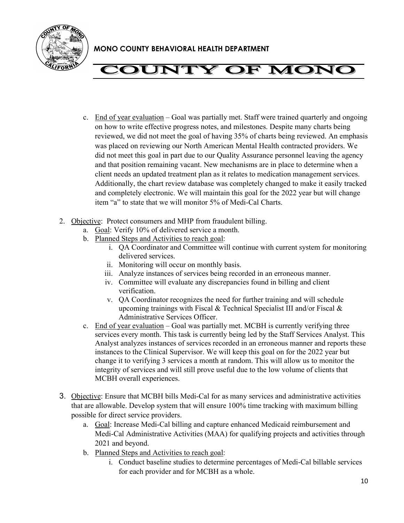

# **COUNTY OF MONG**

- c. End of year evaluation Goal was partially met. Staff were trained quarterly and ongoing on how to write effective progress notes, and milestones. Despite many charts being reviewed, we did not meet the goal of having 35% of charts being reviewed. An emphasis was placed on reviewing our North American Mental Health contracted providers. We did not meet this goal in part due to our Quality Assurance personnel leaving the agency and that position remaining vacant. New mechanisms are in place to determine when a client needs an updated treatment plan as it relates to medication management services. Additionally, the chart review database was completely changed to make it easily tracked and completely electronic. We will maintain this goal for the 2022 year but will change item "a" to state that we will monitor 5% of Medi-Cal Charts.
- 2. Objective: Protect consumers and MHP from fraudulent billing.
	- a. Goal: Verify 10% of delivered service a month.
	- b. Planned Steps and Activities to reach goal:
		- i. QA Coordinator and Committee will continue with current system for monitoring delivered services.
		- ii. Monitoring will occur on monthly basis.
		- iii. Analyze instances of services being recorded in an erroneous manner.
		- iv. Committee will evaluate any discrepancies found in billing and client verification.
		- v. QA Coordinator recognizes the need for further training and will schedule upcoming trainings with Fiscal & Technical Specialist III and/or Fiscal & Administrative Services Officer.
	- c. End of year evaluation Goal was partially met. MCBH is currently verifying three services every month. This task is currently being led by the Staff Services Analyst. This Analyst analyzes instances of services recorded in an erroneous manner and reports these instances to the Clinical Supervisor. We will keep this goal on for the 2022 year but change it to verifying 3 services a month at random. This will allow us to monitor the integrity of services and will still prove useful due to the low volume of clients that MCBH overall experiences.
- 3. Objective: Ensure that MCBH bills Medi-Cal for as many services and administrative activities that are allowable. Develop system that will ensure 100% time tracking with maximum billing possible for direct service providers.
	- a. Goal: Increase Medi-Cal billing and capture enhanced Medicaid reimbursement and Medi-Cal Administrative Activities (MAA) for qualifying projects and activities through 2021 and beyond.
	- b. Planned Steps and Activities to reach goal:
		- i. Conduct baseline studies to determine percentages of Medi-Cal billable services for each provider and for MCBH as a whole.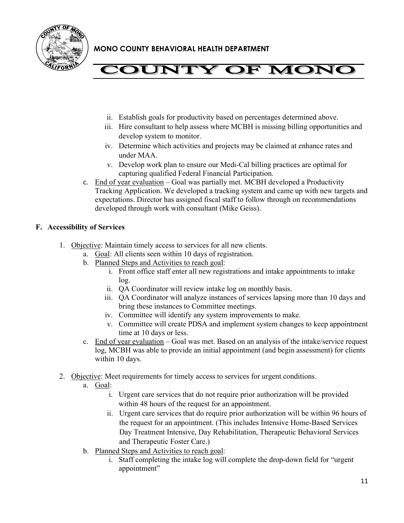

# **COUNTY OF MONC**

- ii. Establish goals for productivity based on percentages determined above.
- iii. Hire consultant to help assess where MCBH is missing billing opportunities and develop system to monitor.
- iv. Determine which activities and projects may be claimed at enhance rates and under MAA.
- v. Develop work plan to ensure our Medi-Cal billing practices are optimal for capturing qualified Federal Financial Participation.
- c. End of year evaluation Goal was partially met. MCBH developed a Productivity Tracking Application. We developed a tracking system and came up with new targets and expectations. Director has assigned fiscal staff to follow through on recommendations developed through work with consultant (Mike Geiss).

### **F. Accessibility of Services**

- 1. Objective: Maintain timely access to services for all new clients.
	- a. Goal: All clients seen within 10 days of registration.
	- b. Planned Steps and Activities to reach goal:
		- i. Front office staff enter all new registrations and intake appointments to intake log.
		- ii. QA Coordinator will review intake log on monthly basis.
		- iii. QA Coordinator will analyze instances of services lapsing more than 10 days and bring these instances to Committee meetings.
		- iv. Committee will identify any system improvements to make.
		- v. Committee will create PDSA and implement system changes to keep appointment time at 10 days or less.
	- c. End of year evaluation Goal was met. Based on an analysis of the intake/service request log, MCBH was able to provide an initial appointment (and begin assessment) for clients within 10 days.
- 2. Objective: Meet requirements for timely access to services for urgent conditions.
	- a. Goal:
		- i. Urgent care services that do not require prior authorization will be provided within 48 hours of the request for an appointment.
		- ii. Urgent care services that do require prior authorization will be within 96 hours of the request for an appointment. (This includes Intensive Home-Based Services Day Treatment Intensive, Day Rehabilitation, Therapeutic Behavioral Services and Therapeutic Foster Care.)
	- b. Planned Steps and Activities to reach goal:
		- i. Staff completing the intake log will complete the drop-down field for "urgent appointment"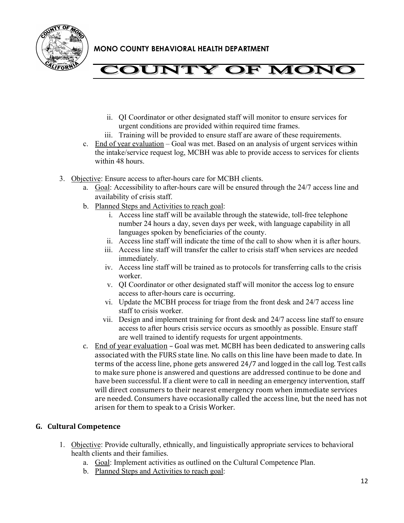



- ii. QI Coordinator or other designated staff will monitor to ensure services for urgent conditions are provided within required time frames.
- iii. Training will be provided to ensure staff are aware of these requirements.
- c. End of year evaluation Goal was met. Based on an analysis of urgent services within the intake/service request log, MCBH was able to provide access to services for clients within 48 hours.
- 3. Objective: Ensure access to after-hours care for MCBH clients.
	- a. Goal: Accessibility to after-hours care will be ensured through the 24/7 access line and availability of crisis staff.
	- b. Planned Steps and Activities to reach goal:
		- i. Access line staff will be available through the statewide, toll-free telephone number 24 hours a day, seven days per week, with language capability in all languages spoken by beneficiaries of the county.
		- ii. Access line staff will indicate the time of the call to show when it is after hours.
		- iii. Access line staff will transfer the caller to crisis staff when services are needed immediately.
		- iv. Access line staff will be trained as to protocols for transferring calls to the crisis worker.
		- v. QI Coordinator or other designated staff will monitor the access log to ensure access to after-hours care is occurring.
		- vi. Update the MCBH process for triage from the front desk and 24/7 access line staff to crisis worker.
		- vii. Design and implement training for front desk and 24/7 access line staff to ensure access to after hours crisis service occurs as smoothly as possible. Ensure staff are well trained to identify requests for urgent appointments.
	- c. End of year evaluation Goal was met. MCBH has been dedicated to answering calls associated with the FURS state line. No calls on this line have been made to date. In terms of the access line, phone gets answered 24/7 and logged in the call log. Test calls to make sure phone is answered and questions are addressed continue to be done and have been successful. If a client were to call in needing an emergency intervention, staff will direct consumers to their nearest emergency room when immediate services are needed. Consumers have occasionally called the access line, but the need has not arisen for them to speak to a Crisis Worker.

### **G. Cultural Competence**

- 1. Objective: Provide culturally, ethnically, and linguistically appropriate services to behavioral health clients and their families.
	- a. Goal: Implement activities as outlined on the Cultural Competence Plan.
	- b. Planned Steps and Activities to reach goal: